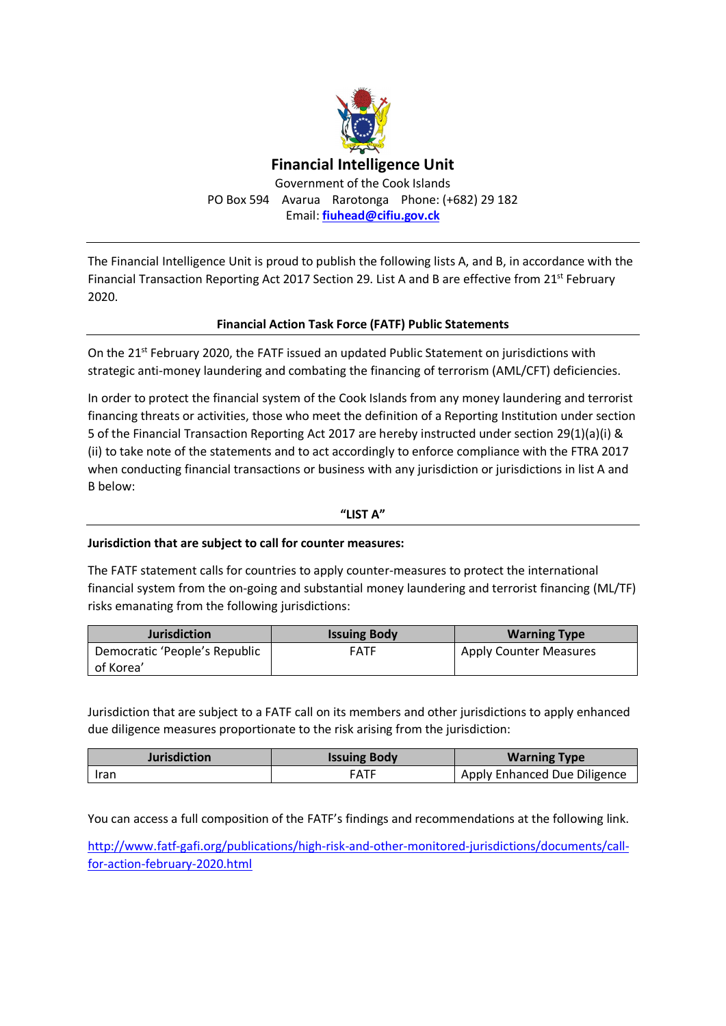

The Financial Intelligence Unit is proud to publish the following lists A, and B, in accordance with the Financial Transaction Reporting Act 2017 Section 29. List A and B are effective from 21<sup>st</sup> February 2020.

## **Financial Action Task Force (FATF) Public Statements**

On the  $21^{st}$  February 2020, the FATF issued an updated Public Statement on jurisdictions with strategic anti-money laundering and combating the financing of terrorism (AML/CFT) deficiencies.

In order to protect the financial system of the Cook Islands from any money laundering and terrorist financing threats or activities, those who meet the definition of a Reporting Institution under section 5 of the Financial Transaction Reporting Act 2017 are hereby instructed under section 29(1)(a)(i) & (ii) to take note of the statements and to act accordingly to enforce compliance with the FTRA 2017 when conducting financial transactions or business with any jurisdiction or jurisdictions in list A and B below:

#### **"LIST A"**

### **Jurisdiction that are subject to call for counter measures:**

The FATF statement calls for countries to apply counter-measures to protect the international financial system from the on-going and substantial money laundering and terrorist financing (ML/TF) risks emanating from the following jurisdictions:

| <b>Jurisdiction</b>           | <b>Issuing Body</b> | <b>Warning Type</b>           |
|-------------------------------|---------------------|-------------------------------|
| Democratic 'People's Republic | <b>FATF</b>         | <b>Apply Counter Measures</b> |
| of Korea'                     |                     |                               |

Jurisdiction that are subject to a FATF call on its members and other jurisdictions to apply enhanced due diligence measures proportionate to the risk arising from the jurisdiction:

| <b>Jurisdiction</b> | <b>Issuing Body</b> | <b>Warning Type</b>          |
|---------------------|---------------------|------------------------------|
| Iran                | <b>FATF</b>         | Apply Enhanced Due Diligence |

You can access a full composition of the FATF's findings and recommendations at the following link.

http://www.fatf-gafi.org/publications/high-risk-and-other-monitored-jurisdictions/documents/callfor-action-february-2020.html